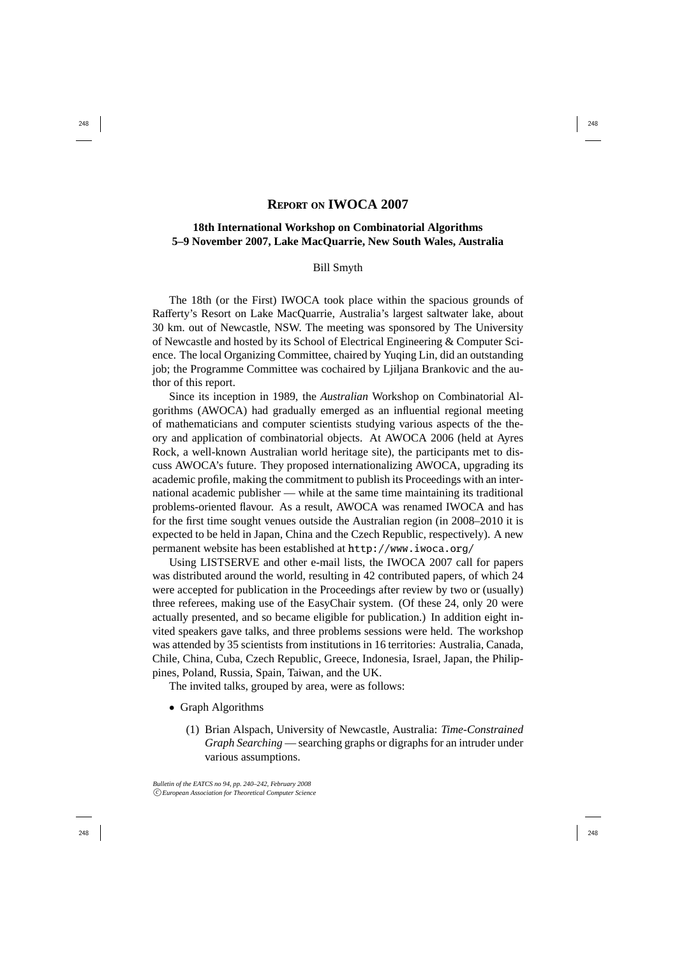## **REPORT ON IWOCA 2007**

## **18th International Workshop on Combinatorial Algorithms 5–9 November 2007, Lake MacQuarrie, New South Wales, Australia**

## Bill Smyth

The 18th (or the First) IWOCA took place within the spacious grounds of Rafferty's Resort on Lake MacQuarrie, Australia's largest saltwater lake, about 30 km. out of Newcastle, NSW. The meeting was sponsored by The University of Newcastle and hosted by its School of Electrical Engineering & Computer Science. The local Organizing Committee, chaired by Yuqing Lin, did an outstanding job; the Programme Committee was cochaired by Ljiljana Brankovic and the author of this report.

Since its inception in 1989, the *Australian* Workshop on Combinatorial Algorithms (AWOCA) had gradually emerged as an influential regional meeting of mathematicians and computer scientists studying various aspects of the theory and application of combinatorial objects. At AWOCA 2006 (held at Ayres Rock, a well-known Australian world heritage site), the participants met to discuss AWOCA's future. They proposed internationalizing AWOCA, upgrading its academic profile, making the commitment to publish its Proceedings with an international academic publisher — while at the same time maintaining its traditional problems-oriented flavour. As a result, AWOCA was renamed IWOCA and has for the first time sought venues outside the Australian region (in 2008–2010 it is expected to be held in Japan, China and the Czech Republic, respectively). A new permanent website has been established at http://www.iwoca.org/

Using LISTSERVE and other e-mail lists, the IWOCA 2007 call for papers was distributed around the world, resulting in 42 contributed papers, of which 24 were accepted for publication in the Proceedings after review by two or (usually) three referees, making use of the EasyChair system. (Of these 24, only 20 were actually presented, and so became eligible for publication.) In addition eight invited speakers gave talks, and three problems sessions were held. The workshop was attended by 35 scientists from institutions in 16 territories: Australia, Canada, Chile, China, Cuba, Czech Republic, Greece, Indonesia, Israel, Japan, the Philippines, Poland, Russia, Spain, Taiwan, and the UK.

The invited talks, grouped by area, were as follows:

- Graph Algorithms
	- (1) Brian Alspach, University of Newcastle, Australia: *Time-Constrained Graph Searching* — searching graphs or digraphs for an intruder under various assumptions.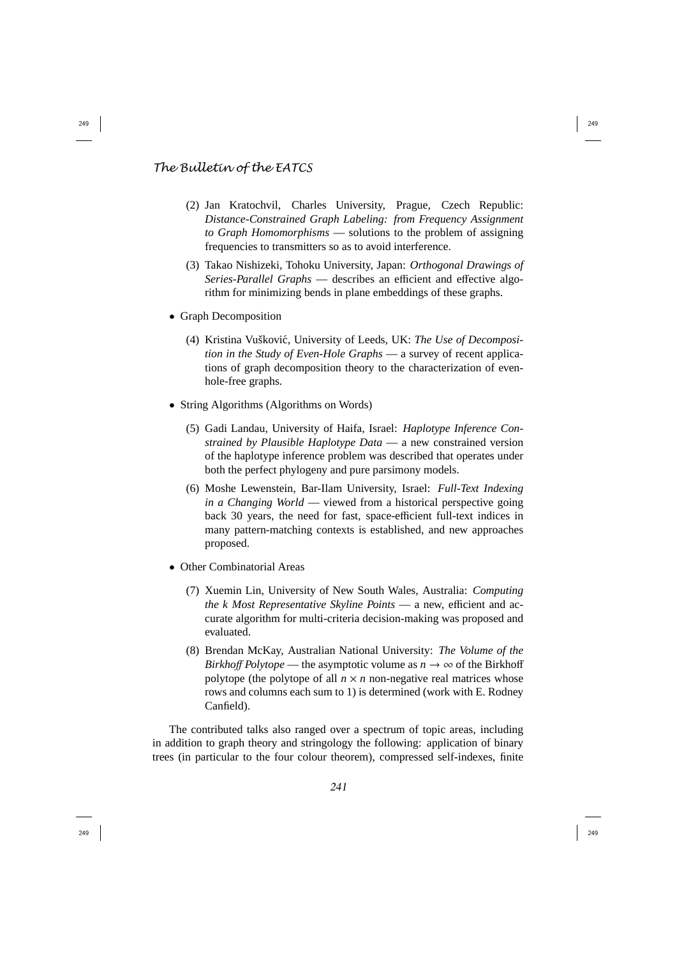## *The Bulletin of the EATCS*

- (2) Jan Kratochvil, Charles University, Prague, Czech Republic: *Distance-Constrained Graph Labeling: from Frequency Assignment to Graph Homomorphisms* — solutions to the problem of assigning frequencies to transmitters so as to avoid interference.
- (3) Takao Nishizeki, Tohoku University, Japan: *Orthogonal Drawings of Series-Parallel Graphs* — describes an e fficient and e ffective algorithm for minimizing bends in plane embeddings of these graphs.
- Graph Decomposition
	- (4) Kristina Vuškovic, University of Leeds, UK: ´ *The Use of Decomposition in the Study of Even-Hole Graphs* — a survey of recent applications of graph decomposition theory to the characterization of evenhole-free graphs.
- String Algorithms (Algorithms on Words)
	- (5) Gadi Landau, University of Haifa, Israel: *Haplotype Inference Constrained by Plausible Haplotype Data* — a new constrained version of the haplotype inference problem was described that operates under both the perfect phylogeny and pure parsimony models.
	- (6) Moshe Lewenstein, Bar-Ilam University, Israel: *Full-Text Indexing in a Changing World* — viewed from a historical perspective going back 30 years, the need for fast, space-e fficient full-text indices in many pattern-matching contexts is established, and new approaches proposed.
- Other Combinatorial Areas
	- (7) Xuemin Lin, University of New South Wales, Australia: *Computing the k Most Representative Skyline Points* — a new, e fficient and accurate algorithm for multi-criteria decision-making was proposed and evaluated.
	- (8) Brendan McKay, Australian National University: *The Volume of the Birkhoff Polytope* — the asymptotic volume as  $n \to \infty$  of the Birkhoff polytope (the polytope of all  $n \times n$  non-negative real matrices whose rows and columns each sum to 1) is determined (work with E. Rodney Canfield).

The contributed talks also ranged over a spectrum of topic areas, including in addition to graph theory and stringology the following: application of binary trees (in particular to the four colour theorem), compressed self-indexes, finite